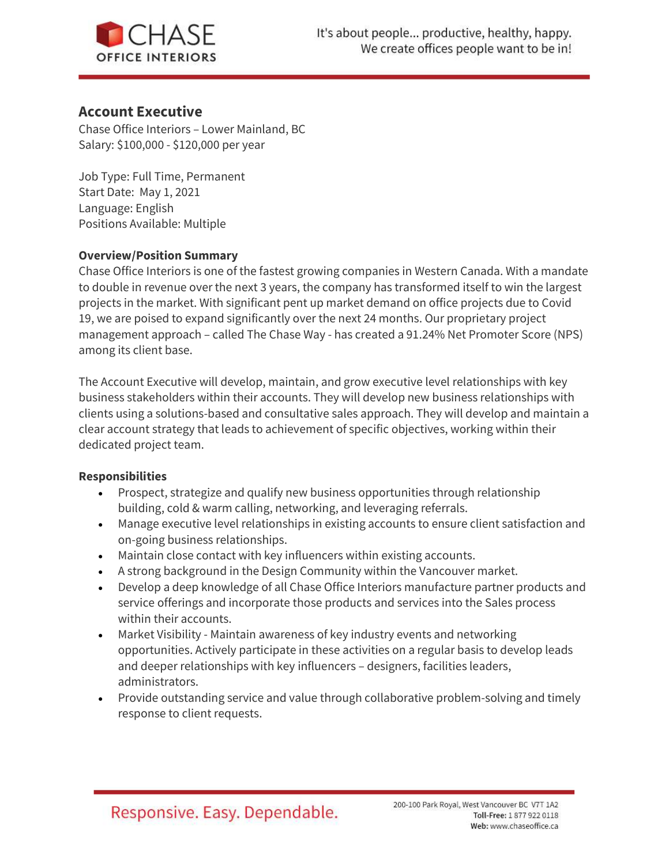

# Account Executive

Chase Office Interiors – Lower Mainland, BC Salary: \$100,000 - \$120,000 per year

Job Type: Full Time, Permanent Start Date: May 1, 2021 Language: English Positions Available: Multiple

#### Overview/Position Summary

Chase Office Interiors is one of the fastest growing companies in Western Canada. With a mandate to double in revenue over the next 3 years, the company has transformed itself to win the largest projects in the market. With significant pent up market demand on office projects due to Covid 19, we are poised to expand significantly over the next 24 months. Our proprietary project management approach – called The Chase Way - has created a 91.24% Net Promoter Score (NPS) among its client base.

The Account Executive will develop, maintain, and grow executive level relationships with key business stakeholders within their accounts. They will develop new business relationships with clients using a solutions-based and consultative sales approach. They will develop and maintain a clear account strategy that leads to achievement of specific objectives, working within their dedicated project team.

#### Responsibilities

- Prospect, strategize and qualify new business opportunities through relationship building, cold & warm calling, networking, and leveraging referrals.
- Manage executive level relationships in existing accounts to ensure client satisfaction and on-going business relationships.
- Maintain close contact with key influencers within existing accounts.
- A strong background in the Design Community within the Vancouver market.
- Develop a deep knowledge of all Chase Office Interiors manufacture partner products and service offerings and incorporate those products and services into the Sales process within their accounts.
- Market Visibility Maintain awareness of key industry events and networking opportunities. Actively participate in these activities on a regular basis to develop leads and deeper relationships with key influencers – designers, facilities leaders, administrators.
- Provide outstanding service and value through collaborative problem-solving and timely response to client requests.